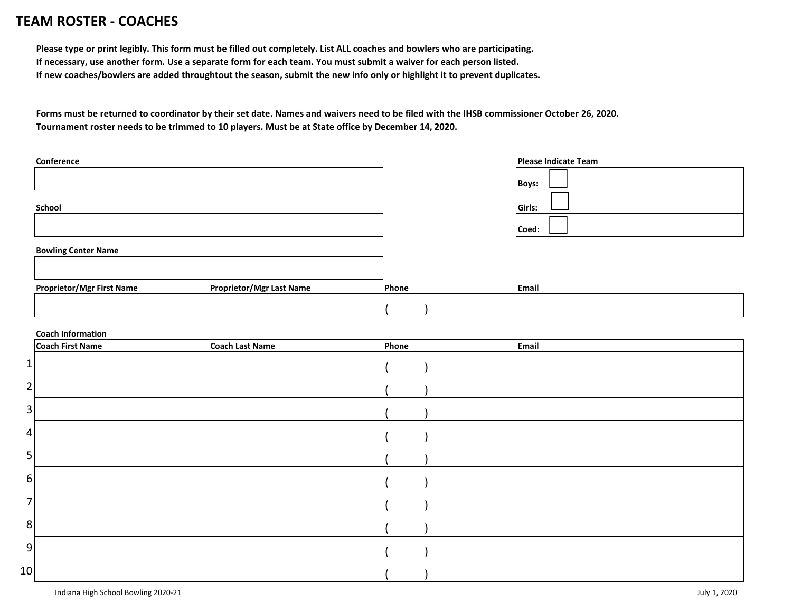## **TEAM ROSTER TEAM ROSTER - COACHES**

**Please type or print legibly. This form must be filled out completely. List ALL coaches and bowlers who are participating. If necessary, use another form. Use a separate form for each team. You must submit a waiver for each person listed. If new coaches/bowlers are added throughtout the season, submit the new info only or highlight it to prevent duplicates.**

**Forms must be returned to coordinator by their set date. Names and waivers need to be filed with the IHSB commissioner October 26, 2020. Tournament roster needs to be trimmed to 10 players. Must be at State office by December 14, 2020.**

| Conference |  |  |  |
|------------|--|--|--|
|            |  |  |  |
|            |  |  |  |
|            |  |  |  |
| School     |  |  |  |
|            |  |  |  |
|            |  |  |  |

| <b>Boys:</b> |  |
|--------------|--|
| Girls:       |  |
| Coed:        |  |

**Please Indicate Team**

## **Bowling Center Name**

| <b>Proprietor/Mgr First Name</b> | <b>Proprietor/Mgr Last Name</b> | Phone | Email |  |
|----------------------------------|---------------------------------|-------|-------|--|
|                                  |                                 |       |       |  |
|                                  |                                 |       |       |  |

## **Coach Information**

|                | ------------------<br><b>Coach First Name</b> | Coach Last Name | Phone | Email |
|----------------|-----------------------------------------------|-----------------|-------|-------|
| $\mathbf 1$    |                                               |                 |       |       |
| $\overline{2}$ |                                               |                 |       |       |
| 3              |                                               |                 |       |       |
| 4              |                                               |                 |       |       |
| 5              |                                               |                 |       |       |
| 6              |                                               |                 |       |       |
| 7              |                                               |                 |       |       |
| 8              |                                               |                 |       |       |
| 9              |                                               |                 |       |       |
| 10             |                                               |                 |       |       |